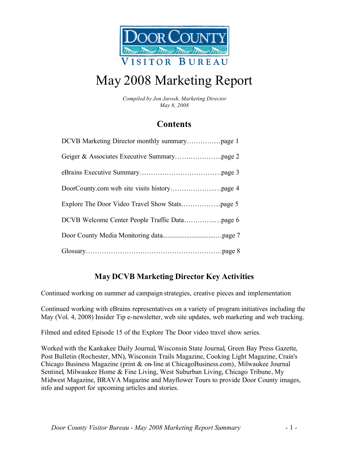

# May 2008 Marketing Report

*Compiled by Jon Jarosh, Marketing Director May 8, 2008*

### **Contents**

| DCVB Welcome Center People Traffic Datapage 6 |
|-----------------------------------------------|
|                                               |
|                                               |

### **May DCVB Marketing Director Key Activities**

Continued working on summer ad campaign strategies, creative pieces and implementation

Continued working with eBrains representatives on a variety of program initiatives including the May (Vol. 4, 2008) Insider Tip e-newsletter, web site updates, web marketing and web tracking.

Filmed and edited Episode 15 of the Explore The Door video travel show series.

Worked with the Kankakee Daily Journal, Wisconsin State Journal, Green Bay Press Gazette, Post Bulletin (Rochester, MN), Wisconsin Trails Magazine, Cooking Light Magazine, Crain's Chicago Business Magazine (print & on-line at ChicagoBusiness.com), Milwaukee Journal Sentinel, Milwaukee Home & Fine Living, West Suburban Living, Chicago Tribune, My Midwest Magazine, BRAVA Magazine and Mayflower Tours to provide Door County images, info and support for upcoming articles and stories.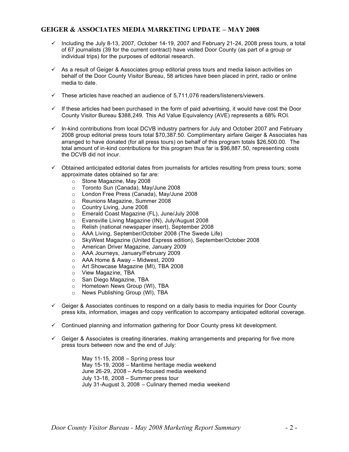### **GEIGER & ASSOCIATES MEDIA MARKETING UPDATE – MAY 2008**

- $\checkmark$  Including the July 8-13, 2007, October 14-19, 2007 and February 21-24, 2008 press tours, a total of 67 journalists (39 for the current contract) have visited Door County (as part of a group or individual trips) for the purposes of editorial research.
- $\checkmark$  As a result of Geiger & Associates group editorial press tours and media liaison activities on behalf of the Door County Visitor Bureau, 58 articles have been placed in print, radio or online media to date.
- $\checkmark$  These articles have reached an audience of 5,711,076 readers/listeners/viewers.
- $\checkmark$  If these articles had been purchased in the form of paid advertising, it would have cost the Door County Visitor Bureau \$388,249. This Ad Value Equivalency (AVE) represents a 68% ROI.
- $\checkmark$  In-kind contributions from local DCVB industry partners for July and October 2007 and February 2008 group editorial press tours total \$70,387.50. Complimentary airfare Geiger & Associates has arranged to have donated (for all press tours) on behalf of this program totals \$26,500.00. The total amount of in-kind contributions for this program thus far is \$96,887.50, representing costs the DCVB did not incur.
- $\checkmark$  Obtained anticipated editorial dates from journalists for articles resulting from press tours; some approximate dates obtained so far are:
	- o Stone Magazine, May 2008
	- o Toronto Sun (Canada), May/June 2008
	- o London Free Press (Canada), May/June 2008
	- o Reunions Magazine, Summer 2008<br>○ Country Living, June 2008
	- o Country Living, June 2008<br> **Emerald Coast Magazine (**
	- Emerald Coast Magazine (FL), June/July 2008
	- o Evansville Living Magazine (IN), July/August 2008
	- o Relish (national newspaper insert), September 2008
	- o AAA Living, September/October 2008 (The Swede Life)
	- o SkyWest Magazine (United Express edition), September/October 2008
	- o American Driver Magazine, January 2009
	- o AAA Journeys, January/February 2009
	- o AAA Home & Away Midwest, 2009
	- o Art Showcase Magazine (MI), TBA 2008
	-
	- o View Magazine, TBA<br>
	o San Diego Magazine. San Diego Magazine, TBA
	- o Hometown News Group (WI), TBA
	- o News Publishing Group (WI), TBA
- $\checkmark$  Geiger & Associates continues to respond on a daily basis to media inquiries for Door County press kits, information, images and copy verification to accompany anticipated editorial coverage.
- $\checkmark$  Continued planning and information gathering for Door County press kit development.
- $\checkmark$  Geiger & Associates is creating itineraries, making arrangements and preparing for five more press tours between now and the end of July:

May 11-15, 2008 – Spring press tour May 15-19, 2008 – Maritime heritage media weekend June 26-29, 2008 – Arts-focused media weekend July 13-18, 2008 – Summer press tour July 31-August 3, 2008 – Culinary themed media weekend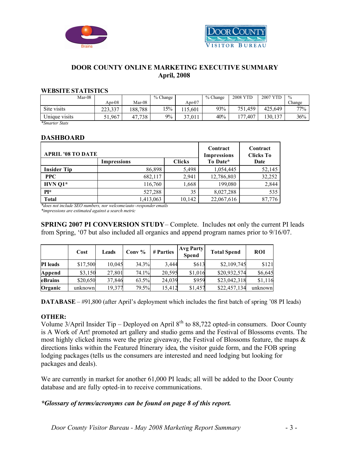



### **DOOR COUNTY ONLINE MARKETING EXECUTIVE SUMMARY April, 2008**

### **WEBSITE STATISTICS**

| Mar-08        |            |            | $%$ Change |        | % Change | <b>2008 YTD</b> | 2007     | $\%$   |
|---------------|------------|------------|------------|--------|----------|-----------------|----------|--------|
|               | Apr-08     | $Mar-08$   |            | Apr-07 |          |                 |          | Change |
| Site visits   | 223.337    | 188,788    | 15%        | 15.601 | 93%      | 751.459         | 425.649  | $77\%$ |
| Unique visits | .967<br>51 | ,738<br>47 | $9\%$      | 37,011 | 40%      | .407<br>177     | 130, 137 | 36%    |

*\*Smarter Stats*

### **DASHBOARD**

| <b>APRIL '08 TO DATE</b> | Contract<br><b>Impressions</b> | Contract<br><b>Clicks To</b> |            |        |
|--------------------------|--------------------------------|------------------------------|------------|--------|
|                          | <b>Impressions</b>             | <b>Clicks</b>                | To Date*   | Date   |
| <b>Insider Tip</b>       | 86,898                         | 5,498                        | 1,054,445  | 52,145 |
| <b>PPC</b>               | 682,117                        | 2,941                        | 12,786,803 | 32,252 |
| $HVN$ Q1*                | 116,760                        | 1,668                        | 199.080    | 2,844  |
| $PI*$                    | 527,288                        | 35                           | 8,027,288  | 535    |
| <b>Total</b>             | 1,413,063                      | 10,142                       | 22,067,616 | 87,776 |

*\*does not include SEO numbers, nor welcome/auto -responder emails*

*\*impressions are estimated against a search metric*

**SPRING 2007 PI CONVERSION STUDY**– Complete. Includes not only the current PI leads from Spring, '07 but also included all organics and append program names prior to 9/16/07.

|                 | Cost     | Leads  | Conv $%$ | # Parties | <b>Avg Party</b><br><b>Spend</b> | <b>Total Spend</b> | <b>ROI</b> |
|-----------------|----------|--------|----------|-----------|----------------------------------|--------------------|------------|
| <b>PI</b> leads | \$17,500 | 10,045 | 34.3%    | 3.444     | \$613                            | \$2,109,745        | \$121      |
| Append          | \$3,150  | 27,801 | 74.1%    | 20,595    | \$1,016                          | \$20,932,574       | \$6,645    |
| eBrains         | \$20,650 | 37,846 | 63.5%    | 24,039    | \$959                            | \$23,042,318       | \$1,116    |
| Organic         | unknown  | 19,377 | 79.5%    | 15,412    | \$1,457                          | \$22,457,134       | unknown    |

**DATABASE** – #91,800 (after April's deployment which includes the first batch of spring '08 PI leads)

### **OTHER:**

Volume  $3/April$  Insider Tip – Deployed on April  $8<sup>th</sup>$  to  $88,722$  opted-in consumers. Door County is A Work of Art! promoted art gallery and studio gems and the Festival of Blossoms events. The most highly clicked items were the prize giveaway, the Festival of Blossoms feature, the maps & directions links within the Featured Itinerary idea, the visitor guide form, and the FOB spring lodging packages (tells us the consumers are interested and need lodging but looking for packages and deals).

We are currently in market for another 61,000 PI leads; all will be added to the Door County database and are fully opted-in to receive communications.

### *\*Glossary of terms/acronyms can be found on page 8 of this report.*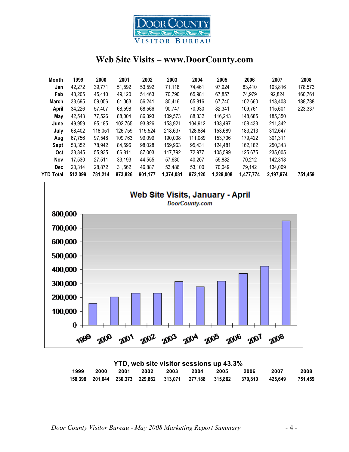

### **Web Site Visits – www.DoorCounty.com**

| Month        | 1999    | 2000    | 2001    | 2002    | 2003      | 2004    | 2005      | 2006      | 2007      | 2008    |
|--------------|---------|---------|---------|---------|-----------|---------|-----------|-----------|-----------|---------|
| Jan          | 42,272  | 39.771  | 51,592  | 53,592  | 71.118    | 74.461  | 97.924    | 83.410    | 103.816   | 178,573 |
| Feb          | 48.205  | 45,410  | 49,120  | 51,463  | 70,790    | 65,981  | 67,857    | 74.979    | 92.824    | 160,761 |
| March        | 33,695  | 59,056  | 61,063  | 56,241  | 80,416    | 65.816  | 67.740    | 102,660   | 113,408   | 188,788 |
| <b>April</b> | 34,226  | 57,407  | 68.598  | 68,566  | 90.747    | 70,930  | 82,341    | 109,761   | 115,601   | 223,337 |
| May          | 42,543  | 77,526  | 88,004  | 86,393  | 109,573   | 88,332  | 116,243   | 148,685   | 185,350   |         |
| June         | 49,959  | 95,185  | 102,765 | 93,826  | 153,921   | 104,912 | 133,497   | 158,433   | 211,342   |         |
| July         | 68.402  | 118.051 | 126.759 | 115,524 | 218,637   | 128.884 | 153.689   | 183,213   | 312.647   |         |
| Aug          | 67.756  | 97.548  | 109,763 | 99,099  | 190.008   | 111,089 | 153.706   | 179,422   | 301.311   |         |
| Sept         | 53,352  | 78,942  | 84,596  | 98.028  | 159.963   | 95.431  | 124.481   | 162,182   | 250.343   |         |
| Oct          | 33.845  | 55.935  | 66.811  | 87.003  | 117,792   | 72.977  | 105.599   | 125.675   | 235,005   |         |
| Nov          | 17,530  | 27.511  | 33,193  | 44,555  | 57,630    | 40.207  | 55.882    | 70,212    | 142,318   |         |
| <b>Dec</b>   | 20,314  | 28.872  | 31.562  | 46.887  | 53,486    | 53.100  | 70.049    | 79,142    | 134.009   |         |
| YTD Total    | 512,099 | 781,214 | 873,826 | 901,177 | 1,374,081 | 972,120 | 1,229,008 | 1,477,774 | 2,197,974 | 751,459 |



| YTD, web site visitor sessions up 43.3% |      |  |           |      |      |      |                                                                                   |      |         |
|-----------------------------------------|------|--|-----------|------|------|------|-----------------------------------------------------------------------------------|------|---------|
| 1999                                    | 2000 |  | 2001 2002 | 2003 | 2004 | 2005 | 2006                                                                              | 2007 | 2008    |
|                                         |      |  |           |      |      |      | 158.398  201.644  230.373  229.862  313.071  277.188  315.862   370.810   425.649 |      | 751.459 |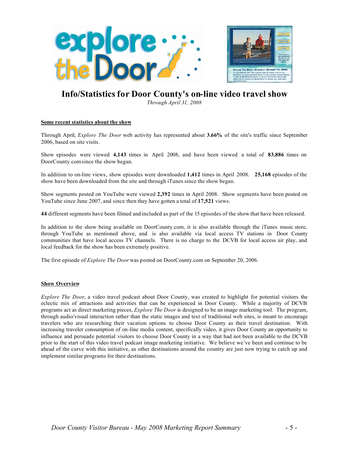

### **Info/Statistics for Door County's on-line video travel show**

*Through April 31, 2008*

#### **Some recent statistics about the show**

Through April, *Explore The Door* web activity has represented about **3.66%** of the site's traffic since September 2006, based on site visits.

Show episodes were viewed **4,143** times in April 2008, and have been viewed a total of **83,886** times on DoorCounty.com since the show began.

In addition to on-line views, show episodes were downloaded **1,412** times in April 2008. **25,168** episodes of the show have been downloaded from the site and through iTunes since the show began.

Show segments posted on YouTube were viewed **2,392** times in April 2008. Show segments have been posted on YouTube since June 2007, and since then they have gotten a total of **17,521** views.

**44** different segments have been filmed and included as part of the 15 episodes of the show that have been released.

In addition to the show being available on DoorCounty.com, it is also available through the iTunes music store, through YouTube as mentioned above, and is also available via local access TV stations in Door County communities that have local access TV channels. There is no charge to the DCVB for local access air play, and local feedback for the show has been extremely positive.

The first episode of *Explore The Door* was posted on DoorCounty.com on September 20, 2006.

#### **Show Overview**

*Explore The Door*, a video travel podcast about Door County, was created to highlight for potential visitors the eclectic mix of attractions and activities that can be experienced in Door County. While a majority of DCVB programs act as direct marketing pieces, *Explore The Door* is designed to be an image marketing tool. The program, through audio/visual interaction rather than the static images and text of traditional web sites, is meant to encourage travelers who are researching their vacation options to choose Door County as their travel destination. With increasing traveler consumption of on-line media content, specifically video, it gives Door County an opportunity to influence and persuade potential visitors to choose Door County in a way that had not been available to the DCVB prior to the start of this video travel podcast image marketing initiative. We believe we've been and continue to be ahead of the curve with this initiative, as other destinations around the country are just now trying to catch up and implement similar programs for their destinations.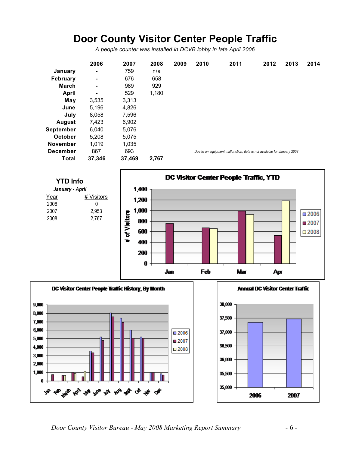# **Door County Visitor Center People Traffic**

*A people counter was installed in DCVB lobby in late April 2006*

|                  | 2006           | 2007   | 2008  | 2009 | 2010 | 2011                                                                    | 2012 | 2013 | 2014 |
|------------------|----------------|--------|-------|------|------|-------------------------------------------------------------------------|------|------|------|
| January          | $\blacksquare$ | 759    | n/a   |      |      |                                                                         |      |      |      |
| <b>February</b>  | $\blacksquare$ | 676    | 658   |      |      |                                                                         |      |      |      |
| <b>March</b>     | ۰              | 989    | 929   |      |      |                                                                         |      |      |      |
| <b>April</b>     | ۰              | 529    | 1,180 |      |      |                                                                         |      |      |      |
| May              | 3,535          | 3,313  |       |      |      |                                                                         |      |      |      |
| June             | 5,196          | 4,826  |       |      |      |                                                                         |      |      |      |
| July             | 8,058          | 7,596  |       |      |      |                                                                         |      |      |      |
| <b>August</b>    | 7,423          | 6,902  |       |      |      |                                                                         |      |      |      |
| <b>September</b> | 6,040          | 5,076  |       |      |      |                                                                         |      |      |      |
| <b>October</b>   | 5,208          | 5,075  |       |      |      |                                                                         |      |      |      |
| <b>November</b>  | 1,019          | 1,035  |       |      |      |                                                                         |      |      |      |
| <b>December</b>  | 867            | 693    |       |      |      | Due to an equipment malfunction, data is not available for January 2008 |      |      |      |
| <b>Total</b>     | 37,346         | 37,469 | 2,767 |      |      |                                                                         |      |      |      |



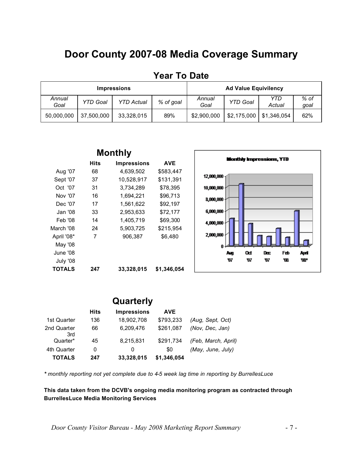# **Door County 2007-08 Media Coverage Summary**

|                |                 | <b>Impressions</b> | <b>Ad Value Equivilency</b> |                |                 |               |                |
|----------------|-----------------|--------------------|-----------------------------|----------------|-----------------|---------------|----------------|
| Annual<br>Goal | <b>YTD Goal</b> | <b>YTD Actual</b>  | % of goal                   | Annual<br>Goal | <b>YTD Goal</b> | YTD<br>Actual | $%$ of<br>goal |
| 50,000,000     | 37,500,000      | 33,328,015         | 89%                         | \$2,900,000    | \$2,175,000     | \$1,346,054   | 62%            |

### **Year To Date**

| <b>Monthly</b> |      |                    |             |  |  |  |  |  |
|----------------|------|--------------------|-------------|--|--|--|--|--|
|                | Hits | <b>Impressions</b> | <b>AVE</b>  |  |  |  |  |  |
| Aug '07        | 68   | 4,639,502          | \$583,447   |  |  |  |  |  |
| Sept '07       | 37   | 10,528,917         | \$131,391   |  |  |  |  |  |
| Oct '07        | 31   | 3,734,289          | \$78,395    |  |  |  |  |  |
| Nov '07        | 16   | 1,694,221          | \$96,713    |  |  |  |  |  |
| Dec '07        | 17   | 1,561,622          | \$92,197    |  |  |  |  |  |
| Jan '08        | 33   | 2,953,633          | \$72,177    |  |  |  |  |  |
| Feb '08        | 14   | 1,405,719          | \$69,300    |  |  |  |  |  |
| March '08      | 24   | 5,903,725          | \$215,954   |  |  |  |  |  |
| April '08*     | 7    | 906,387            | \$6,480     |  |  |  |  |  |
| May '08        |      |                    |             |  |  |  |  |  |
| June '08       |      |                    |             |  |  |  |  |  |
| July '08       |      |                    |             |  |  |  |  |  |
| TOTALS         | 247  | 33,328,015         | \$1,346,054 |  |  |  |  |  |



### **Quarterly Hits Impressions AVE** 1st Quarter 136 18,902,708 \$793,233 *(Aug, Sept, Oct)* 2nd Quarter 66 6,209,476 \$261,087 *(Nov, Dec, Jan)* 3rd Quarter\* 45 8,215,831 \$291,734 *(Feb, March, April)* 4th Quarter 0 0 0 50 *(May, June, July)* **TOTALS 247 33,328,015 \$1,346,054**

*\* monthly reporting not yet complete due to 4-5 week lag time in reporting by BurrellesLuce*

**This data taken from the DCVB's ongoing media monitoring program as contracted through BurrellesLuce Media Monitoring Services**